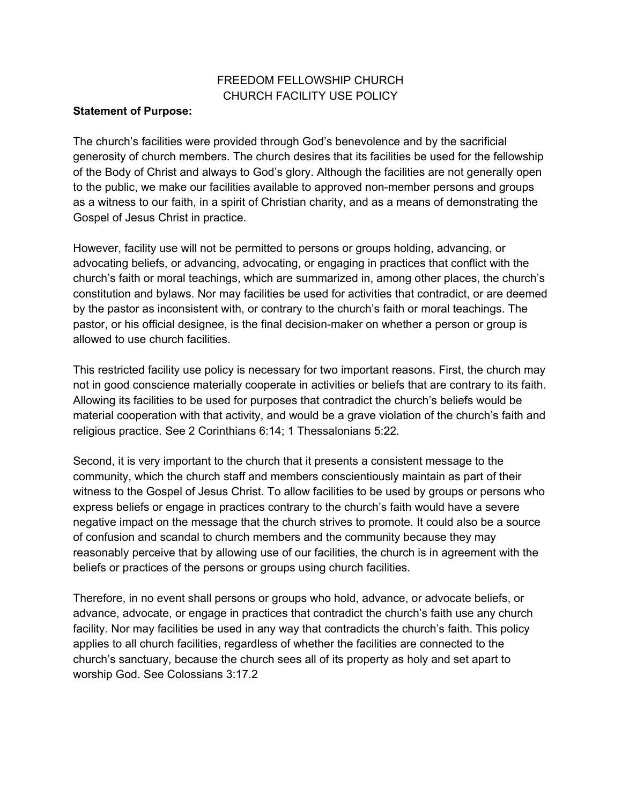# FREEDOM FELLOWSHIP CHURCH CHURCH FACILITY USE POLICY

#### **Statement of Purpose:**

The church's facilities were provided through God's benevolence and by the sacrificial generosity of church members. The church desires that its facilities be used for the fellowship of the Body of Christ and always to God's glory. Although the facilities are not generally open to the public, we make our facilities available to approved non-member persons and groups as a witness to our faith, in a spirit of Christian charity, and as a means of demonstrating the Gospel of Jesus Christ in practice.

However, facility use will not be permitted to persons or groups holding, advancing, or advocating beliefs, or advancing, advocating, or engaging in practices that conflict with the church's faith or moral teachings, which are summarized in, among other places, the church's constitution and bylaws. Nor may facilities be used for activities that contradict, or are deemed by the pastor as inconsistent with, or contrary to the church's faith or moral teachings. The pastor, or his official designee, is the final decision-maker on whether a person or group is allowed to use church facilities.

This restricted facility use policy is necessary for two important reasons. First, the church may not in good conscience materially cooperate in activities or beliefs that are contrary to its faith. Allowing its facilities to be used for purposes that contradict the church's beliefs would be material cooperation with that activity, and would be a grave violation of the church's faith and religious practice. See 2 Corinthians 6:14; 1 Thessalonians 5:22.

Second, it is very important to the church that it presents a consistent message to the community, which the church staff and members conscientiously maintain as part of their witness to the Gospel of Jesus Christ. To allow facilities to be used by groups or persons who express beliefs or engage in practices contrary to the church's faith would have a severe negative impact on the message that the church strives to promote. It could also be a source of confusion and scandal to church members and the community because they may reasonably perceive that by allowing use of our facilities, the church is in agreement with the beliefs or practices of the persons or groups using church facilities.

Therefore, in no event shall persons or groups who hold, advance, or advocate beliefs, or advance, advocate, or engage in practices that contradict the church's faith use any church facility. Nor may facilities be used in any way that contradicts the church's faith. This policy applies to all church facilities, regardless of whether the facilities are connected to the church's sanctuary, because the church sees all of its property as holy and set apart to worship God. See Colossians 3:17.2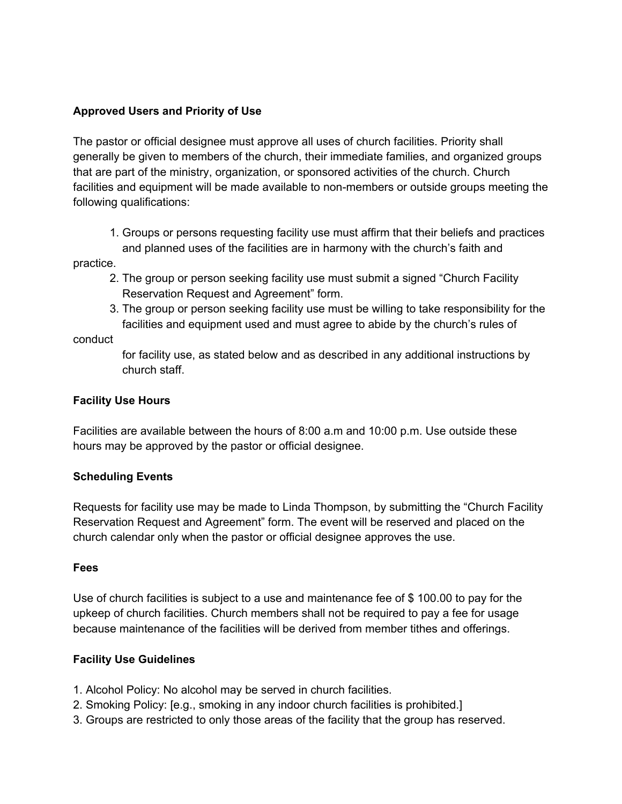# **Approved Users and Priority of Use**

The pastor or official designee must approve all uses of church facilities. Priority shall generally be given to members of the church, their immediate families, and organized groups that are part of the ministry, organization, or sponsored activities of the church. Church facilities and equipment will be made available to non-members or outside groups meeting the following qualifications:

1. Groups or persons requesting facility use must affirm that their beliefs and practices and planned uses of the facilities are in harmony with the church's faith and

practice.

- 2. The group or person seeking facility use must submit a signed "Church Facility Reservation Request and Agreement" form.
- 3. The group or person seeking facility use must be willing to take responsibility for the facilities and equipment used and must agree to abide by the church's rules of

conduct

for facility use, as stated below and as described in any additional instructions by church staff.

### **Facility Use Hours**

Facilities are available between the hours of 8:00 a.m and 10:00 p.m. Use outside these hours may be approved by the pastor or official designee.

#### **Scheduling Events**

Requests for facility use may be made to Linda Thompson, by submitting the "Church Facility Reservation Request and Agreement" form. The event will be reserved and placed on the church calendar only when the pastor or official designee approves the use.

#### **Fees**

Use of church facilities is subject to a use and maintenance fee of \$ 100.00 to pay for the upkeep of church facilities. Church members shall not be required to pay a fee for usage because maintenance of the facilities will be derived from member tithes and offerings.

# **Facility Use Guidelines**

- 1. Alcohol Policy: No alcohol may be served in church facilities.
- 2. Smoking Policy: [e.g., smoking in any indoor church facilities is prohibited.]
- 3. Groups are restricted to only those areas of the facility that the group has reserved.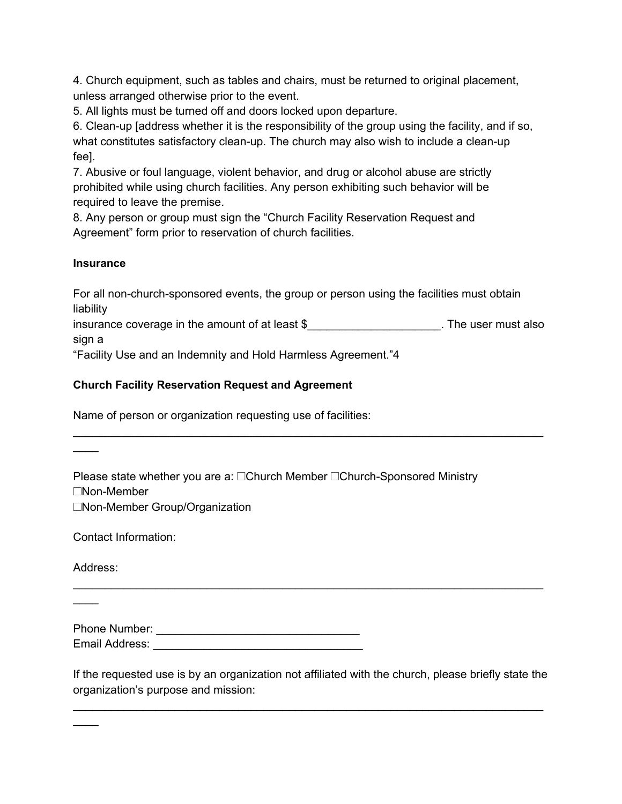4. Church equipment, such as tables and chairs, must be returned to original placement, unless arranged otherwise prior to the event.

5. All lights must be turned off and doors locked upon departure.

6. Clean-up [address whether it is the responsibility of the group using the facility, and if so, what constitutes satisfactory clean-up. The church may also wish to include a clean-up fee].

7. Abusive or foul language, violent behavior, and drug or alcohol abuse are strictly prohibited while using church facilities. Any person exhibiting such behavior will be required to leave the premise.

8. Any person or group must sign the "Church Facility Reservation Request and Agreement" form prior to reservation of church facilities.

# **Insurance**

For all non-church-sponsored events, the group or person using the facilities must obtain liability

insurance coverage in the amount of at least \$ sign a

\_\_\_\_\_\_\_\_\_\_\_\_\_\_\_\_\_\_\_\_\_\_\_\_\_\_\_\_\_\_\_\_\_\_\_\_\_\_\_\_\_\_\_\_\_\_\_\_\_\_\_\_\_\_\_\_\_\_\_\_\_\_\_\_\_\_\_\_\_\_\_\_\_\_

"Facility Use and an Indemnity and Hold Harmless Agreement."4

# **Church Facility Reservation Request and Agreement**

Name of person or organization requesting use of facilities:

Please state whether you are a: □Church Member □Church-Sponsored Ministry  $\square$ Non-Member □Non-Member Group/Organization

Contact Information:

Address:

 $\mathbb{Z}$ 

 $\overline{\phantom{a}}$ 

 $\mathbb{Z}$ 

Phone Number: \_\_\_\_\_\_\_\_\_\_\_\_\_\_\_\_\_\_\_\_\_\_\_\_\_\_\_\_\_\_\_\_ Email Address: **Email Address:** 

If the requested use is by an organization not affiliated with the church, please briefly state the organization's purpose and mission:

\_\_\_\_\_\_\_\_\_\_\_\_\_\_\_\_\_\_\_\_\_\_\_\_\_\_\_\_\_\_\_\_\_\_\_\_\_\_\_\_\_\_\_\_\_\_\_\_\_\_\_\_\_\_\_\_\_\_\_\_\_\_\_\_\_\_\_\_\_\_\_\_\_\_

\_\_\_\_\_\_\_\_\_\_\_\_\_\_\_\_\_\_\_\_\_\_\_\_\_\_\_\_\_\_\_\_\_\_\_\_\_\_\_\_\_\_\_\_\_\_\_\_\_\_\_\_\_\_\_\_\_\_\_\_\_\_\_\_\_\_\_\_\_\_\_\_\_\_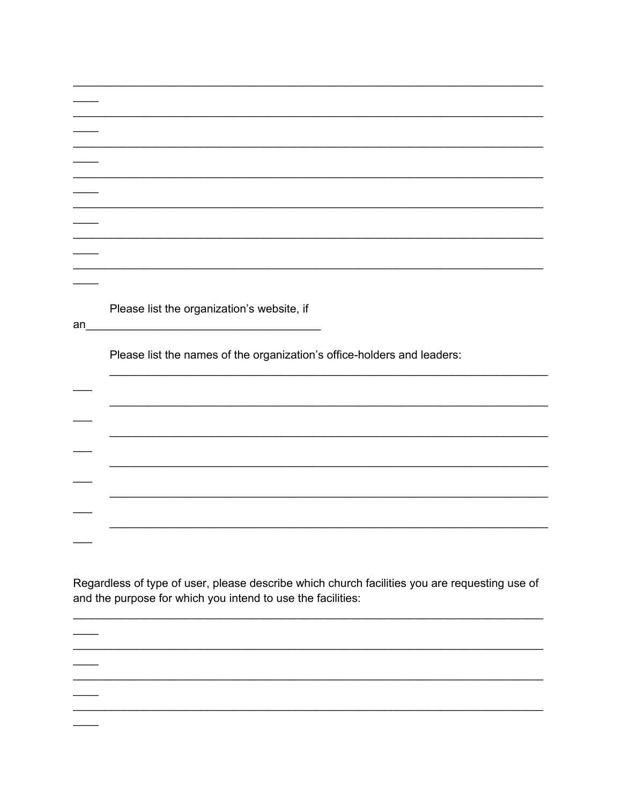| an | Please list the organization's website, if<br><u> 1989 - Johann Harry Barn, mars ar breist fan de Fryske kommer</u> |
|----|---------------------------------------------------------------------------------------------------------------------|
|    | Please list the names of the organization's office-holders and leaders:                                             |
|    |                                                                                                                     |
|    |                                                                                                                     |
|    |                                                                                                                     |
|    |                                                                                                                     |
|    |                                                                                                                     |
|    |                                                                                                                     |

Regardless of type of user, please describe which church facilities you are requesting use of and the purpose for which you intend to use the facilities:

 $\overline{\phantom{0}}$ 

 $\overline{\phantom{0}}$ 

 $\overline{\phantom{0}}$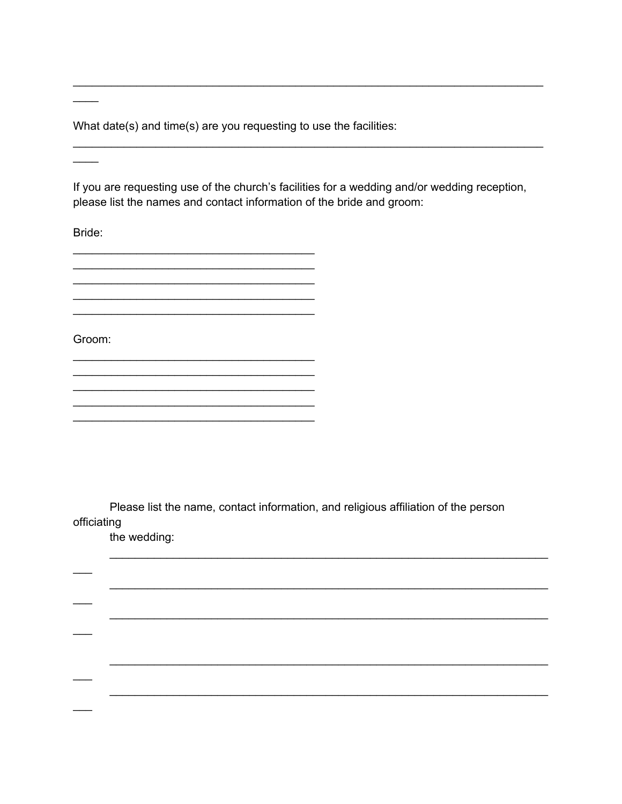What date(s) and time(s) are you requesting to use the facilities:

If you are requesting use of the church's facilities for a wedding and/or wedding reception, please list the names and contact information of the bride and groom:

Bride:

Groom:

Please list the name, contact information, and religious affiliation of the person officiating

the wedding: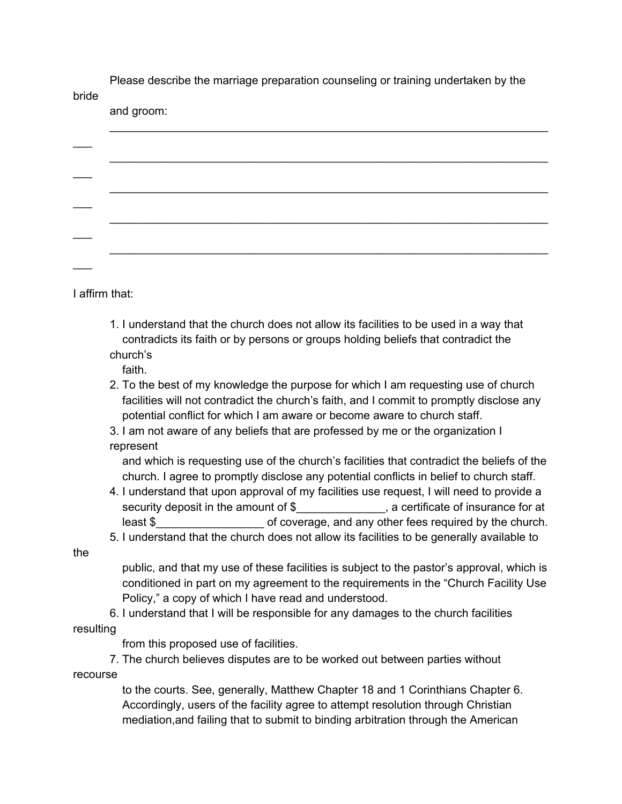Please describe the marriage preparation counseling or training undertaken by the bride

and groom:

I affirm that:

1. I understand that the church does not allow its facilities to be used in a way that contradicts its faith or by persons or groups holding beliefs that contradict the church's

faith.

- 2. To the best of my knowledge the purpose for which I am requesting use of church facilities will not contradict the church's faith, and I commit to promptly disclose any potential conflict for which I am aware or become aware to church staff.
- 3. I am not aware of any beliefs that are professed by me or the organization I represent

and which is requesting use of the church's facilities that contradict the beliefs of the church. I agree to promptly disclose any potential conflicts in belief to church staff.

- 4. I understand that upon approval of my facilities use request, I will need to provide a security deposit in the amount of \$ \_\_\_\_\_\_\_\_\_\_\_\_, a certificate of insurance for at least \$\_\_\_\_\_\_\_\_\_\_\_\_\_\_\_\_\_ of coverage, and any other fees required by the church.
- 5. I understand that the church does not allow its facilities to be generally available to

the

public, and that my use of these facilities is subject to the pastor's approval, which is conditioned in part on my agreement to the requirements in the "Church Facility Use Policy," a copy of which I have read and understood.

6. I understand that I will be responsible for any damages to the church facilities resulting

from this proposed use of facilities.

7. The church believes disputes are to be worked out between parties without recourse

> to the courts. See, generally, Matthew Chapter 18 and 1 Corinthians Chapter 6. Accordingly, users of the facility agree to attempt resolution through Christian mediation,and failing that to submit to binding arbitration through the American